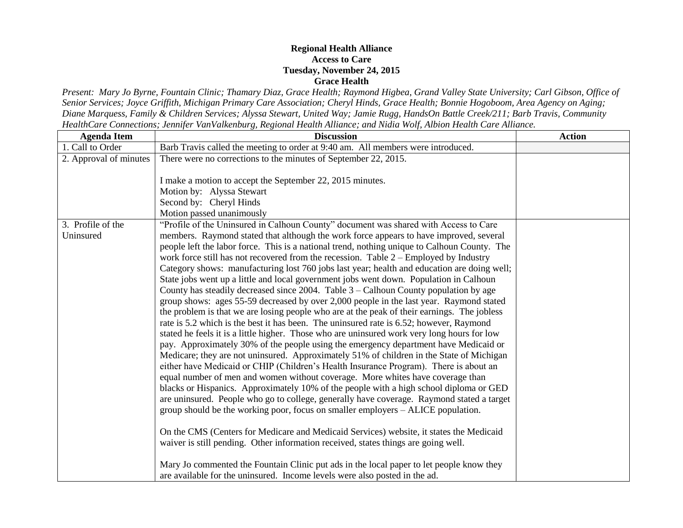## **Regional Health Alliance Access to Care Tuesday, November 24, 2015 Grace Health**

*Present: Mary Jo Byrne, Fountain Clinic; Thamary Diaz, Grace Health; Raymond Higbea, Grand Valley State University; Carl Gibson, Office of Senior Services; Joyce Griffith, Michigan Primary Care Association; Cheryl Hinds, Grace Health; Bonnie Hogoboom, Area Agency on Aging; Diane Marquess, Family & Children Services; Alyssa Stewart, United Way; Jamie Rugg, HandsOn Battle Creek/211; Barb Travis, Community HealthCare Connections; Jennifer VanValkenburg, Regional Health Alliance; and Nidia Wolf, Albion Health Care Alliance.*

| <b>Agenda Item</b>     | <b>Discussion</b>                                                                                                                                                                                                                                                                                                                                                                                                                                                                                                                                                                                                                                                                                                                                                                                                                                                                                                                                                                                                                                                                                                                                                                                                                                                                                                                                                                                                                                                                                                                                                                                                                                                                                                                                                                                                                                                                | <b>Action</b> |
|------------------------|----------------------------------------------------------------------------------------------------------------------------------------------------------------------------------------------------------------------------------------------------------------------------------------------------------------------------------------------------------------------------------------------------------------------------------------------------------------------------------------------------------------------------------------------------------------------------------------------------------------------------------------------------------------------------------------------------------------------------------------------------------------------------------------------------------------------------------------------------------------------------------------------------------------------------------------------------------------------------------------------------------------------------------------------------------------------------------------------------------------------------------------------------------------------------------------------------------------------------------------------------------------------------------------------------------------------------------------------------------------------------------------------------------------------------------------------------------------------------------------------------------------------------------------------------------------------------------------------------------------------------------------------------------------------------------------------------------------------------------------------------------------------------------------------------------------------------------------------------------------------------------|---------------|
| 1. Call to Order       | Barb Travis called the meeting to order at 9:40 am. All members were introduced.                                                                                                                                                                                                                                                                                                                                                                                                                                                                                                                                                                                                                                                                                                                                                                                                                                                                                                                                                                                                                                                                                                                                                                                                                                                                                                                                                                                                                                                                                                                                                                                                                                                                                                                                                                                                 |               |
| 2. Approval of minutes | There were no corrections to the minutes of September 22, 2015.                                                                                                                                                                                                                                                                                                                                                                                                                                                                                                                                                                                                                                                                                                                                                                                                                                                                                                                                                                                                                                                                                                                                                                                                                                                                                                                                                                                                                                                                                                                                                                                                                                                                                                                                                                                                                  |               |
|                        | I make a motion to accept the September 22, 2015 minutes.<br>Motion by: Alyssa Stewart<br>Second by: Cheryl Hinds<br>Motion passed unanimously                                                                                                                                                                                                                                                                                                                                                                                                                                                                                                                                                                                                                                                                                                                                                                                                                                                                                                                                                                                                                                                                                                                                                                                                                                                                                                                                                                                                                                                                                                                                                                                                                                                                                                                                   |               |
| 3. Profile of the      | "Profile of the Uninsured in Calhoun County" document was shared with Access to Care                                                                                                                                                                                                                                                                                                                                                                                                                                                                                                                                                                                                                                                                                                                                                                                                                                                                                                                                                                                                                                                                                                                                                                                                                                                                                                                                                                                                                                                                                                                                                                                                                                                                                                                                                                                             |               |
| Uninsured              | members. Raymond stated that although the work force appears to have improved, several<br>people left the labor force. This is a national trend, nothing unique to Calhoun County. The<br>work force still has not recovered from the recession. Table 2 - Employed by Industry<br>Category shows: manufacturing lost 760 jobs last year; health and education are doing well;<br>State jobs went up a little and local government jobs went down. Population in Calhoun<br>County has steadily decreased since $2004$ . Table $3 -$ Calhoun County population by age<br>group shows: ages 55-59 decreased by over 2,000 people in the last year. Raymond stated<br>the problem is that we are losing people who are at the peak of their earnings. The jobless<br>rate is 5.2 which is the best it has been. The uninsured rate is 6.52; however, Raymond<br>stated he feels it is a little higher. Those who are uninsured work very long hours for low<br>pay. Approximately 30% of the people using the emergency department have Medicaid or<br>Medicare; they are not uninsured. Approximately 51% of children in the State of Michigan<br>either have Medicaid or CHIP (Children's Health Insurance Program). There is about an<br>equal number of men and women without coverage. More whites have coverage than<br>blacks or Hispanics. Approximately 10% of the people with a high school diploma or GED<br>are uninsured. People who go to college, generally have coverage. Raymond stated a target<br>group should be the working poor, focus on smaller employers - ALICE population.<br>On the CMS (Centers for Medicare and Medicaid Services) website, it states the Medicaid<br>waiver is still pending. Other information received, states things are going well.<br>Mary Jo commented the Fountain Clinic put ads in the local paper to let people know they |               |
|                        | are available for the uninsured. Income levels were also posted in the ad.                                                                                                                                                                                                                                                                                                                                                                                                                                                                                                                                                                                                                                                                                                                                                                                                                                                                                                                                                                                                                                                                                                                                                                                                                                                                                                                                                                                                                                                                                                                                                                                                                                                                                                                                                                                                       |               |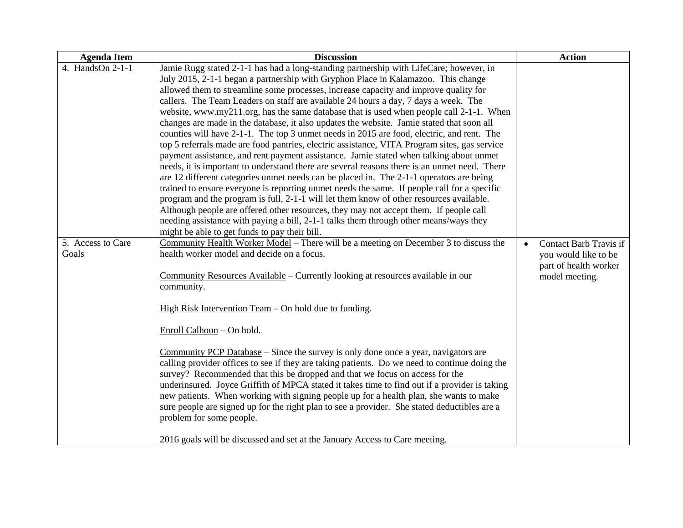| <b>Agenda Item</b> | <b>Discussion</b>                                                                             | <b>Action</b>                       |
|--------------------|-----------------------------------------------------------------------------------------------|-------------------------------------|
| 4. HandsOn 2-1-1   | Jamie Rugg stated 2-1-1 has had a long-standing partnership with LifeCare; however, in        |                                     |
|                    | July 2015, 2-1-1 began a partnership with Gryphon Place in Kalamazoo. This change             |                                     |
|                    | allowed them to streamline some processes, increase capacity and improve quality for          |                                     |
|                    | callers. The Team Leaders on staff are available 24 hours a day, 7 days a week. The           |                                     |
|                    | website, www.my211.org, has the same database that is used when people call 2-1-1. When       |                                     |
|                    | changes are made in the database, it also updates the website. Jamie stated that soon all     |                                     |
|                    | counties will have 2-1-1. The top 3 unmet needs in 2015 are food, electric, and rent. The     |                                     |
|                    | top 5 referrals made are food pantries, electric assistance, VITA Program sites, gas service  |                                     |
|                    | payment assistance, and rent payment assistance. Jamie stated when talking about unmet        |                                     |
|                    | needs, it is important to understand there are several reasons there is an unmet need. There  |                                     |
|                    | are 12 different categories unmet needs can be placed in. The 2-1-1 operators are being       |                                     |
|                    | trained to ensure everyone is reporting unmet needs the same. If people call for a specific   |                                     |
|                    | program and the program is full, 2-1-1 will let them know of other resources available.       |                                     |
|                    | Although people are offered other resources, they may not accept them. If people call         |                                     |
|                    | needing assistance with paying a bill, 2-1-1 talks them through other means/ways they         |                                     |
|                    | might be able to get funds to pay their bill.                                                 |                                     |
| 5. Access to Care  | Community Health Worker Model - There will be a meeting on December 3 to discuss the          | Contact Barb Travis if<br>$\bullet$ |
| Goals              | health worker model and decide on a focus.                                                    | you would like to be                |
|                    |                                                                                               | part of health worker               |
|                    | Community Resources Available - Currently looking at resources available in our               | model meeting.                      |
|                    | community.                                                                                    |                                     |
|                    | High Risk Intervention Team - On hold due to funding.                                         |                                     |
|                    |                                                                                               |                                     |
|                    | Enroll Calhoun - On hold.                                                                     |                                     |
|                    | Community PCP Database – Since the survey is only done once a year, navigators are            |                                     |
|                    | calling provider offices to see if they are taking patients. Do we need to continue doing the |                                     |
|                    | survey? Recommended that this be dropped and that we focus on access for the                  |                                     |
|                    | underinsured. Joyce Griffith of MPCA stated it takes time to find out if a provider is taking |                                     |
|                    | new patients. When working with signing people up for a health plan, she wants to make        |                                     |
|                    | sure people are signed up for the right plan to see a provider. She stated deductibles are a  |                                     |
|                    | problem for some people.                                                                      |                                     |
|                    |                                                                                               |                                     |
|                    | 2016 goals will be discussed and set at the January Access to Care meeting.                   |                                     |